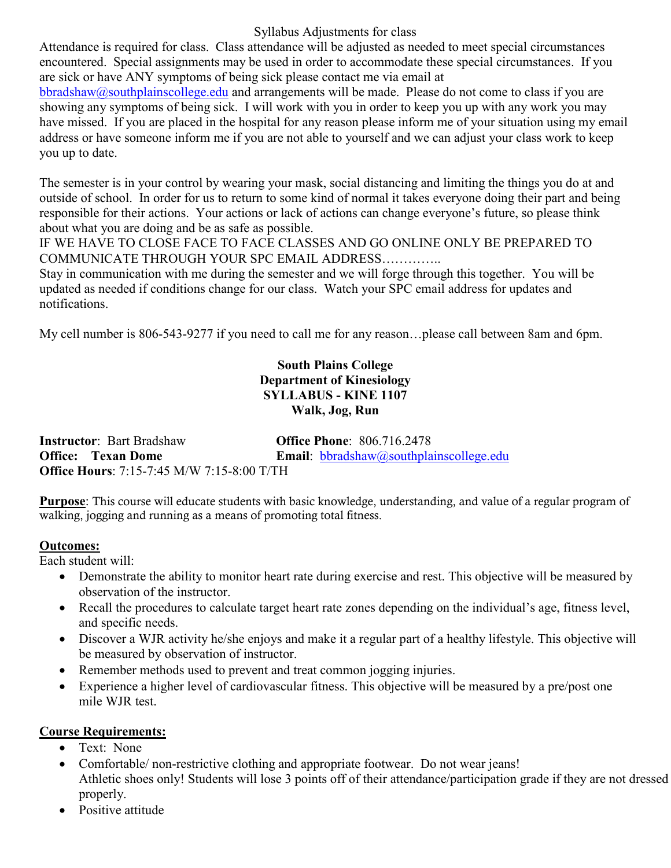Syllabus Adjustments for class

Attendance is required for class. Class attendance will be adjusted as needed to meet special circumstances encountered. Special assignments may be used in order to accommodate these special circumstances. If you are sick or have ANY symptoms of being sick please contact me via email at

[bbradshaw@southplainscollege.edu](mailto:bbradshaw@southplainscollege.edu) and arrangements will be made. Please do not come to class if you are showing any symptoms of being sick. I will work with you in order to keep you up with any work you may have missed. If you are placed in the hospital for any reason please inform me of your situation using my email address or have someone inform me if you are not able to yourself and we can adjust your class work to keep you up to date.

The semester is in your control by wearing your mask, social distancing and limiting the things you do at and outside of school. In order for us to return to some kind of normal it takes everyone doing their part and being responsible for their actions. Your actions or lack of actions can change everyone's future, so please think about what you are doing and be as safe as possible.

IF WE HAVE TO CLOSE FACE TO FACE CLASSES AND GO ONLINE ONLY BE PREPARED TO COMMUNICATE THROUGH YOUR SPC EMAIL ADDRESS…………..

Stay in communication with me during the semester and we will forge through this together. You will be updated as needed if conditions change for our class. Watch your SPC email address for updates and notifications.

My cell number is 806-543-9277 if you need to call me for any reason…please call between 8am and 6pm.

#### **South Plains College Department of Kinesiology SYLLABUS - KINE 1107 Walk, Jog, Run**

**Instructor**: Bart Bradshaw **Office Phone**: 806.716.2478 **Office:** Texan Dome **Email**: [bbradshaw@southplainscollege.edu](mailto:bbradshaw@southplainscollege.edu) **Office Hours**: 7:15-7:45 M/W 7:15-8:00 T/TH

**Purpose**: This course will educate students with basic knowledge, understanding, and value of a regular program of walking, jogging and running as a means of promoting total fitness.

#### **Outcomes:**

Each student will:

- Demonstrate the ability to monitor heart rate during exercise and rest. This objective will be measured by observation of the instructor.
- Recall the procedures to calculate target heart rate zones depending on the individual's age, fitness level, and specific needs.
- Discover a WJR activity he/she enjoys and make it a regular part of a healthy lifestyle. This objective will be measured by observation of instructor.
- Remember methods used to prevent and treat common jogging injuries.
- Experience a higher level of cardiovascular fitness. This objective will be measured by a pre/post one mile WJR test.

## **Course Requirements:**

- Text: None
- Comfortable/ non-restrictive clothing and appropriate footwear. Do not wear jeans! Athletic shoes only! Students will lose 3 points off of their attendance/participation grade if they are not dressed properly.
- Positive attitude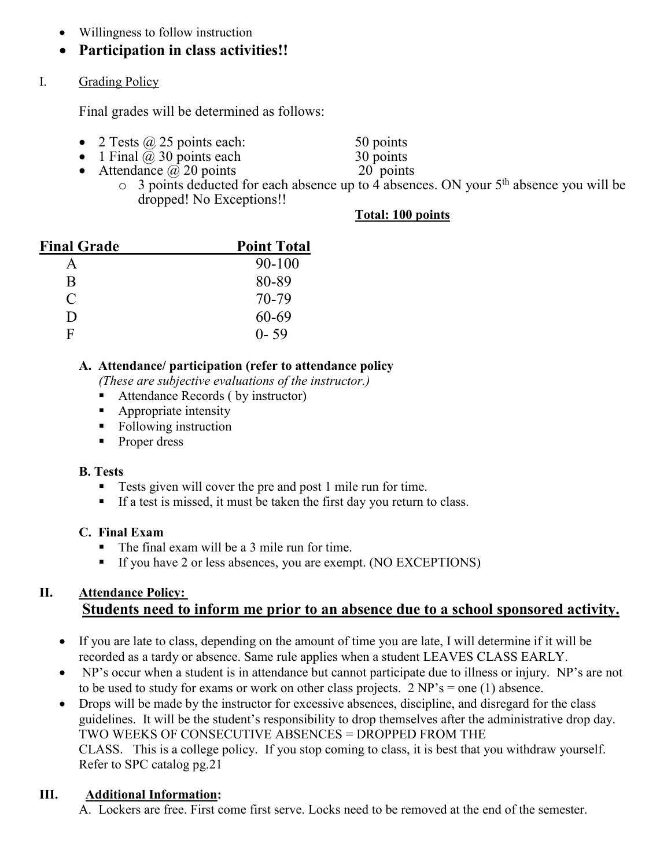- Willingness to follow instruction
- **Participation in class activities!!**
- I. Grading Policy

Final grades will be determined as follows:

- 2 Tests  $\omega$  25 points each: 50 points<br>
1 Final  $\omega$  30 points each 30 points
- 
- 1 Final  $\hat{\omega}$  30 points each 30 points<br>
Attendance  $\hat{\omega}$  20 points 20 points • Attendance  $\omega$  20 points

- 
- $\circ$  3 points deducted for each absence up to 4 absences. ON your 5<sup>th</sup> absence you will be dropped! No Exceptions!!

## **Total: 100 points**

| <b>Final Grade</b>          | <b>Point Total</b> |
|-----------------------------|--------------------|
| А                           | 90-100             |
| R                           | 80-89              |
| $\mathcal{C}_{\mathcal{C}}$ | 70-79              |
| Ð                           | 60-69              |
| Ħ                           | $0 - 59$           |

# **A. Attendance/ participation (refer to attendance policy**

*(These are subjective evaluations of the instructor.)*

- Attendance Records ( by instructor)
- **Appropriate intensity**
- Following instruction
- Proper dress

## **B. Tests**

- Tests given will cover the pre and post 1 mile run for time.
- If a test is missed, it must be taken the first day you return to class.

## **C. Final Exam**

- The final exam will be a 3 mile run for time.
- If you have 2 or less absences, you are exempt. (NO EXCEPTIONS)

# **II. Attendance Policy: Students need to inform me prior to an absence due to a school sponsored activity.**

- If you are late to class, depending on the amount of time you are late, I will determine if it will be recorded as a tardy or absence. Same rule applies when a student LEAVES CLASS EARLY.
- NP's occur when a student is in attendance but cannot participate due to illness or injury. NP's are not to be used to study for exams or work on other class projects.  $2 NP's = one (1)$  absence.
- Drops will be made by the instructor for excessive absences, discipline, and disregard for the class guidelines. It will be the student's responsibility to drop themselves after the administrative drop day. TWO WEEKS OF CONSECUTIVE ABSENCES = DROPPED FROM THE CLASS. This is a college policy. If you stop coming to class, it is best that you withdraw yourself. Refer to SPC catalog pg.21

# **III. Additional Information:**

A. Lockers are free. First come first serve. Locks need to be removed at the end of the semester.